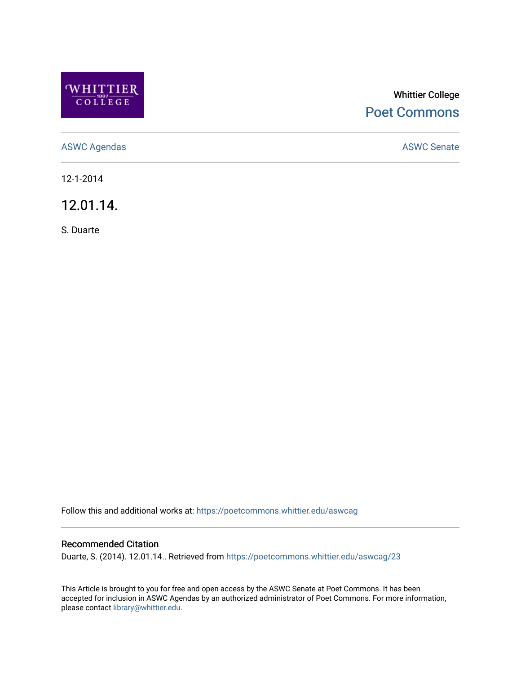

## Whittier College [Poet Commons](https://poetcommons.whittier.edu/)

[ASWC Agendas](https://poetcommons.whittier.edu/aswcag) **ASWC Senate** 

12-1-2014

12.01.14.

S. Duarte

Follow this and additional works at: [https://poetcommons.whittier.edu/aswcag](https://poetcommons.whittier.edu/aswcag?utm_source=poetcommons.whittier.edu%2Faswcag%2F23&utm_medium=PDF&utm_campaign=PDFCoverPages) 

## Recommended Citation

Duarte, S. (2014). 12.01.14.. Retrieved from [https://poetcommons.whittier.edu/aswcag/23](https://poetcommons.whittier.edu/aswcag/23?utm_source=poetcommons.whittier.edu%2Faswcag%2F23&utm_medium=PDF&utm_campaign=PDFCoverPages)

This Article is brought to you for free and open access by the ASWC Senate at Poet Commons. It has been accepted for inclusion in ASWC Agendas by an authorized administrator of Poet Commons. For more information, please contact [library@whittier.edu](mailto:library@whittier.edu).